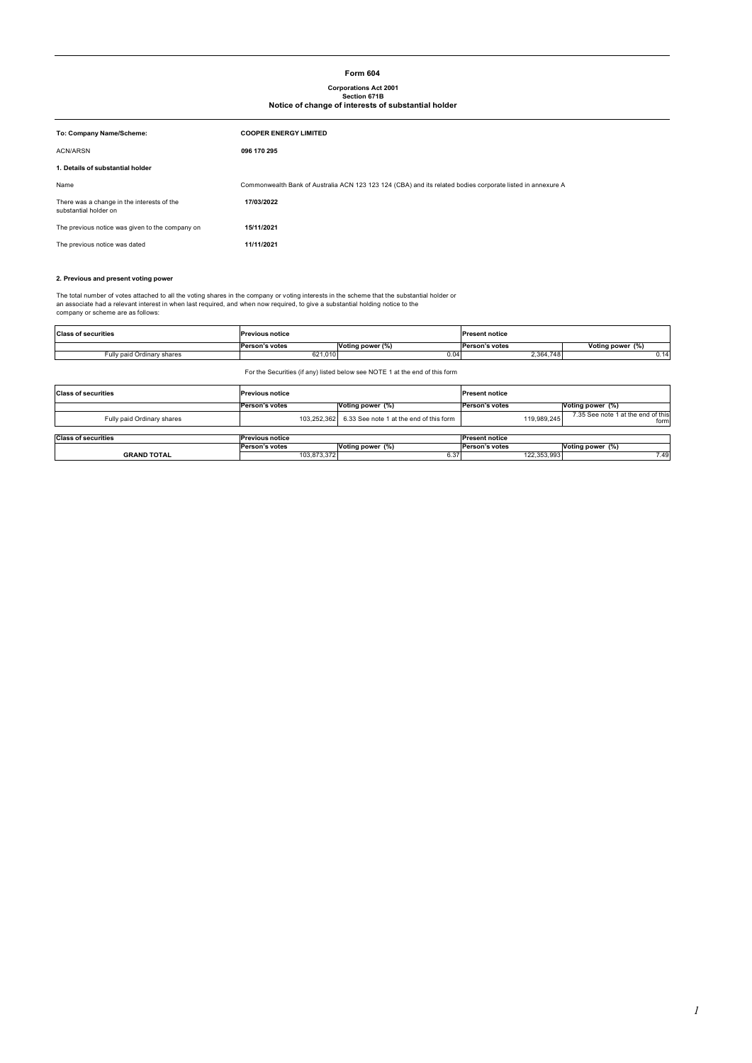#### **Form 604**

# **Corporations Act 2001 Section 671B Notice of change of interests of substantial holder**

| To: Company Name/Scheme:                                            | <b>COOPER ENERGY LIMITED</b>                                                                               |
|---------------------------------------------------------------------|------------------------------------------------------------------------------------------------------------|
| <b>ACN/ARSN</b>                                                     | 096 170 295                                                                                                |
| 1. Details of substantial holder                                    |                                                                                                            |
| Name                                                                | Commonwealth Bank of Australia ACN 123 123 124 (CBA) and its related bodies corporate listed in annexure A |
| There was a change in the interests of the<br>substantial holder on | 17/03/2022                                                                                                 |
| The previous notice was given to the company on                     | 15/11/2021                                                                                                 |
| The previous notice was dated                                       | 11/11/2021                                                                                                 |

#### **2. Previous and present voting power**

The total number of votes attached to all the voting shares in the company or voting interests in the scheme that the substantial holder or<br>an associate had a relevant interest in when last required, and when now required,

| <b>Class of securities</b> | <b>Previous notice</b> |                  | <b>Present notice</b> |                  |
|----------------------------|------------------------|------------------|-----------------------|------------------|
|                            | Person's votes         | Voting power (%) | Person's votes        | Voting power (%) |
| Fully paid Ordinary shares | 621,010                | 0.04             | 2,364,748             | 0.14             |

For the Securities (if any) listed below see NOTE 1 at the end of this form

| <b>Class of securities</b><br><b>Previous notice</b> |                        | <b>Present notice</b>                               |                       |                                            |
|------------------------------------------------------|------------------------|-----------------------------------------------------|-----------------------|--------------------------------------------|
|                                                      | Person's votes         | Voting power (%)                                    | Person's votes        | Voting power (%)                           |
| Fully paid Ordinary shares                           |                        | 103.252.362 6.33 See note 1 at the end of this form | 119.989.245           | 7.35 See note 1 at the end of this<br>form |
|                                                      |                        |                                                     |                       |                                            |
| <b>Class of securities</b>                           | <b>Previous notice</b> |                                                     | <b>Present notice</b> |                                            |
|                                                      | Person's votes         | Voting power (%)                                    | Person's votes        | Voting power (%)                           |
| <b>GRAND TOTAL</b>                                   | 103.873.372            | 6.37                                                | 122,353,993           | 7.49                                       |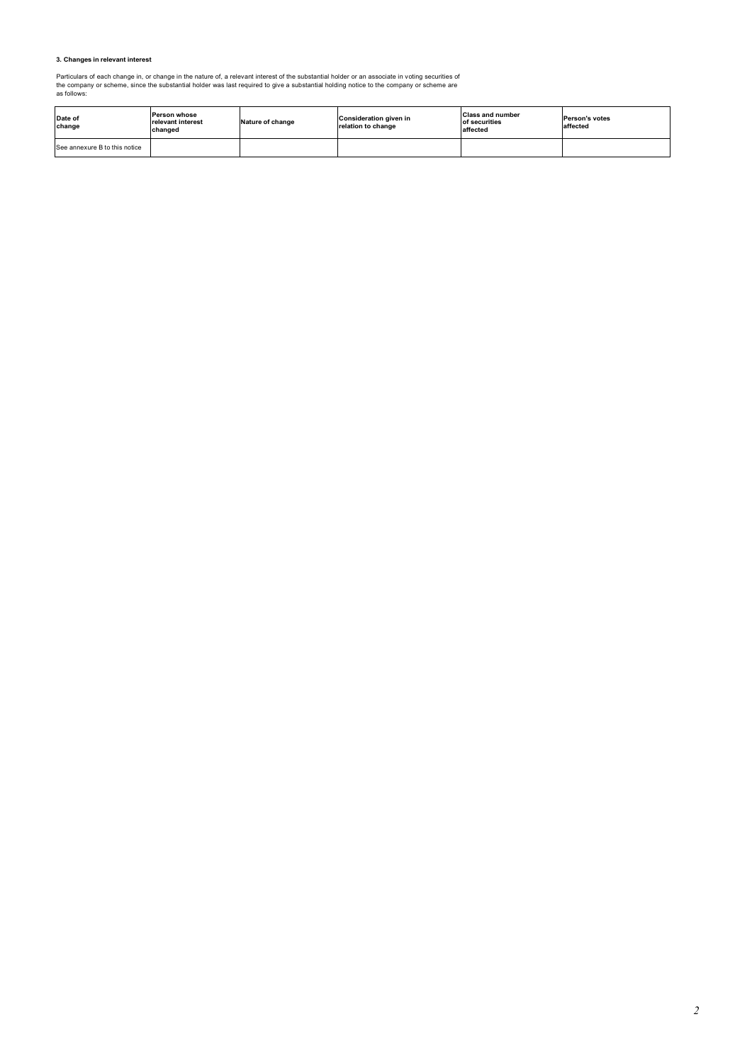#### **3. Changes in relevant interest**

Particulars of each change in, or change in the nature of, a relevant interest of the substantial holder or an associate in voting securities of<br>the company or scheme, since the substantial holder was last required to give

| Date of<br>change             | <b>Person whose</b><br>relevant interest<br>changed | Nature of change | Consideration given in<br>relation to change | <b>Class and number</b><br>of securities<br>affected | Person's votes<br>affected |
|-------------------------------|-----------------------------------------------------|------------------|----------------------------------------------|------------------------------------------------------|----------------------------|
| See annexure B to this notice |                                                     |                  |                                              |                                                      |                            |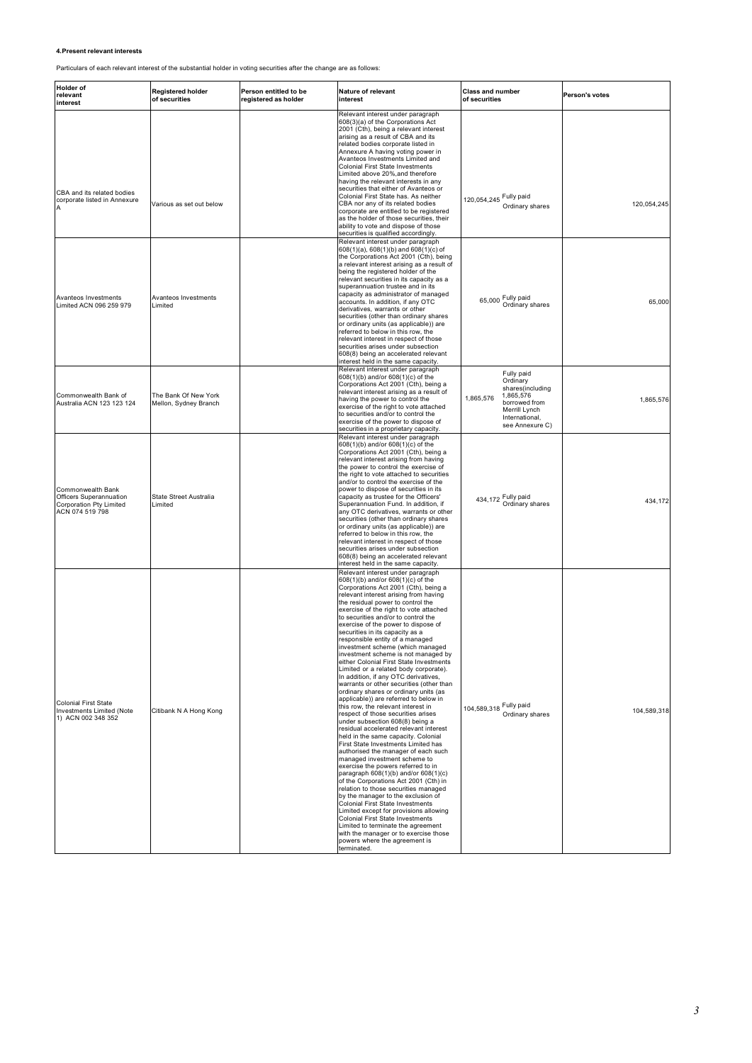## **4.Present relevant interests**

Particulars of each relevant interest of the substantial holder in voting securities after the change are as follows:

| <b>Holder of</b><br>relevant<br>interest                                                   | <b>Registered holder</b><br>of securities     | Person entitled to be<br>registered as holder | Nature of relevant<br>interest                                                                                                                                                                                                                                                                                                                                                                                                                                                                                                                                                                                                                                                                                                                                                                                                                                                                                                                                                                                                                                                                                                                                                                                                                                                                                                                                                                                                                                                                             | <b>Class and number</b><br>of securities                                                                                                    | Person's votes |
|--------------------------------------------------------------------------------------------|-----------------------------------------------|-----------------------------------------------|------------------------------------------------------------------------------------------------------------------------------------------------------------------------------------------------------------------------------------------------------------------------------------------------------------------------------------------------------------------------------------------------------------------------------------------------------------------------------------------------------------------------------------------------------------------------------------------------------------------------------------------------------------------------------------------------------------------------------------------------------------------------------------------------------------------------------------------------------------------------------------------------------------------------------------------------------------------------------------------------------------------------------------------------------------------------------------------------------------------------------------------------------------------------------------------------------------------------------------------------------------------------------------------------------------------------------------------------------------------------------------------------------------------------------------------------------------------------------------------------------------|---------------------------------------------------------------------------------------------------------------------------------------------|----------------|
| CBA and its related bodies<br>corporate listed in Annexure                                 | Various as set out below                      |                                               | Relevant interest under paragraph<br>608(3)(a) of the Corporations Act<br>2001 (Cth), being a relevant interest<br>arising as a result of CBA and its<br>related bodies corporate listed in<br>Annexure A having voting power in<br>Avanteos Investments Limited and<br>Colonial First State Investments<br>Limited above 20%, and therefore<br>having the relevant interests in any<br>securities that either of Avanteos or<br>Colonial First State has. As neither<br>CBA nor any of its related bodies<br>corporate are entitled to be registered<br>as the holder of those securities, their<br>ability to vote and dispose of those<br>securities is qualified accordingly.                                                                                                                                                                                                                                                                                                                                                                                                                                                                                                                                                                                                                                                                                                                                                                                                                          | 120,054,245 Fully paid<br>Ordinary shares                                                                                                   | 120,054,245    |
| Avanteos Investments<br>Limited ACN 096 259 979                                            | Avanteos Investments<br>Limited               |                                               | Relevant interest under paragraph<br>608(1)(a), 608(1)(b) and 608(1)(c) of<br>the Corporations Act 2001 (Cth), being<br>a relevant interest arising as a result of<br>being the registered holder of the<br>relevant securities in its capacity as a<br>superannuation trustee and in its<br>capacity as administrator of managed<br>accounts. In addition, if any OTC<br>derivatives, warrants or other<br>securities (other than ordinary shares<br>or ordinary units (as applicable)) are<br>referred to below in this row, the<br>relevant interest in respect of those<br>securities arises under subsection<br>608(8) being an accelerated relevant<br>interest held in the same capacity.                                                                                                                                                                                                                                                                                                                                                                                                                                                                                                                                                                                                                                                                                                                                                                                                           | 65,000 Fully paid<br>Ordinary shares                                                                                                        | 65,000         |
| Commonwealth Bank of<br>Australia ACN 123 123 124                                          | The Bank Of New York<br>Mellon, Sydney Branch |                                               | Relevant interest under paragraph<br>608(1)(b) and/or 608(1)(c) of the<br>Corporations Act 2001 (Cth), being a<br>relevant interest arising as a result of<br>having the power to control the<br>exercise of the right to vote attached<br>to securities and/or to control the<br>exercise of the power to dispose of<br>securities in a proprietary capacity.                                                                                                                                                                                                                                                                                                                                                                                                                                                                                                                                                                                                                                                                                                                                                                                                                                                                                                                                                                                                                                                                                                                                             | Fully paid<br>Ordinary<br>shares(including<br>1,865,576<br>1,865,576<br>borrowed from<br>Merrill Lynch<br>International,<br>see Annexure C) | 1,865,576      |
| Commonwealth Bank<br>Officers Superannuation<br>Corporation Pty Limited<br>ACN 074 519 798 | State Street Australia<br>Limited             |                                               | Relevant interest under paragraph<br>608(1)(b) and/or 608(1)(c) of the<br>Corporations Act 2001 (Cth), being a<br>relevant interest arising from having<br>the power to control the exercise of<br>the right to vote attached to securities<br>and/or to control the exercise of the<br>power to dispose of securities in its<br>capacity as trustee for the Officers'<br>Superannuation Fund. In addition, if<br>any OTC derivatives, warrants or other<br>securities (other than ordinary shares<br>or ordinary units (as applicable)) are<br>referred to below in this row, the<br>relevant interest in respect of those<br>securities arises under subsection<br>608(8) being an accelerated relevant<br>interest held in the same capacity.                                                                                                                                                                                                                                                                                                                                                                                                                                                                                                                                                                                                                                                                                                                                                           | 434,172 Fully paid<br>Ordinary shares                                                                                                       | 434,172        |
| <b>Colonial First State</b><br>Investments Limited (Note<br>1) ACN 002 348 352             | Citibank N A Hong Kong                        |                                               | Relevant interest under paragraph<br>608(1)(b) and/or 608(1)(c) of the<br>Corporations Act 2001 (Cth), being a<br>relevant interest arising from having<br>the residual power to control the<br>exercise of the right to vote attached<br>to securities and/or to control the<br>exercise of the power to dispose of<br>securities in its capacity as a<br>responsible entity of a managed<br>investment scheme (which managed<br>investment scheme is not managed by<br>either Colonial First State Investments<br>Limited or a related body corporate).<br>In addition, if any OTC derivatives,<br>warrants or other securities (other than<br>ordinary shares or ordinary units (as<br>applicable)) are referred to below in<br>this row, the relevant interest in<br>respect of those securities arises<br>under subsection 608(8) being a<br>residual accelerated relevant interest<br>held in the same capacity. Colonial<br>First State Investments Limited has<br>authorised the manager of each such<br>managed investment scheme to<br>exercise the powers referred to in<br>paragraph 608(1)(b) and/or 608(1)(c)<br>of the Corporations Act 2001 (Cth) in<br>relation to those securities managed<br>by the manager to the exclusion of<br>Colonial First State Investments<br>Limited except for provisions allowing<br><b>Colonial First State Investments</b><br>Limited to terminate the agreement<br>with the manager or to exercise those<br>powers where the agreement is<br>terminated. | 104,589,318 Fully paid<br>Ordinary shares                                                                                                   | 104,589,318    |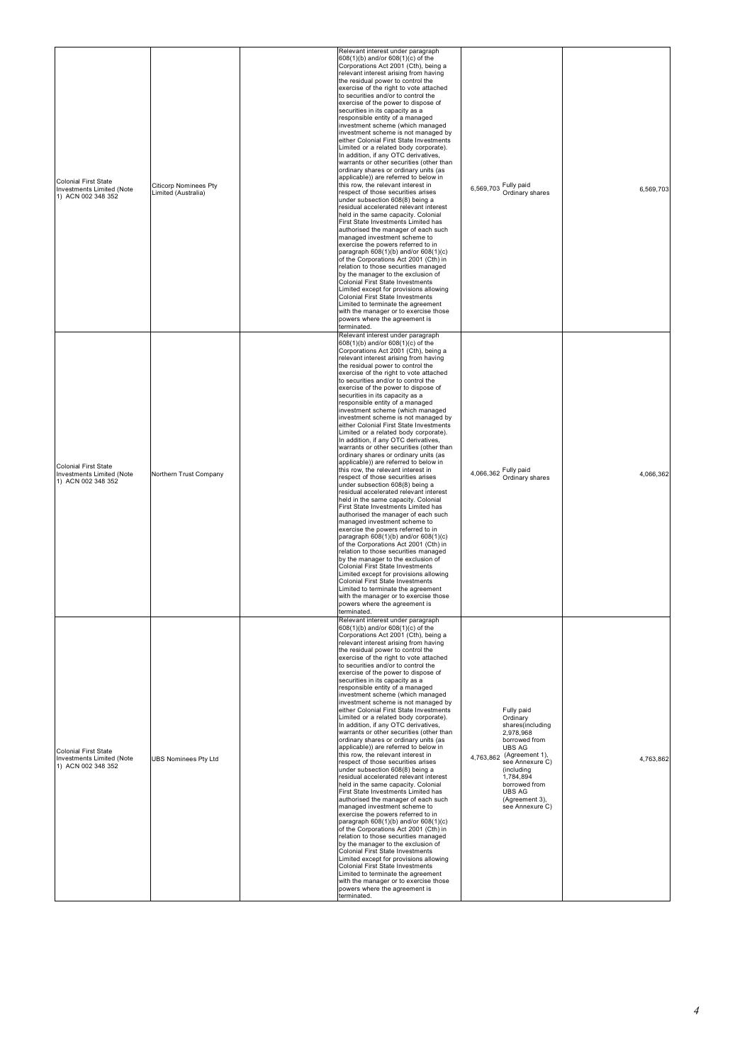| <b>Colonial First State</b><br>Investments Limited (Note<br>1) ACN 002 348 352 | <b>Citicorp Nominees Pty</b><br>Limited (Australia) | Relevant interest under paragraph<br>608(1)(b) and/or 608(1)(c) of the<br>Corporations Act 2001 (Cth), being a<br>relevant interest arising from having<br>the residual power to control the<br>exercise of the right to vote attached<br>to securities and/or to control the<br>exercise of the power to dispose of<br>securities in its capacity as a<br>responsible entity of a managed<br>investment scheme (which managed<br>investment scheme is not managed by<br>either Colonial First State Investments<br>Limited or a related body corporate).<br>In addition, if any OTC derivatives,<br>warrants or other securities (other than<br>ordinary shares or ordinary units (as<br>applicable)) are referred to below in<br>this row, the relevant interest in<br>respect of those securities arises<br>under subsection 608(8) being a<br>residual accelerated relevant interest<br>held in the same capacity. Colonial<br>First State Investments Limited has<br>authorised the manager of each such<br>managed investment scheme to<br>exercise the powers referred to in<br>paragraph 608(1)(b) and/or 608(1)(c)<br>of the Corporations Act 2001 (Cth) in<br>relation to those securities managed<br>by the manager to the exclusion of<br><b>Colonial First State Investments</b><br>Limited except for provisions allowing<br>Colonial First State Investments<br>Limited to terminate the agreement<br>with the manager or to exercise those<br>powers where the agreement is<br>terminated. | 6,569,703 Fully paid<br>Ordinary shares                                                                                                                                                                                                           | 6,569,703 |
|--------------------------------------------------------------------------------|-----------------------------------------------------|------------------------------------------------------------------------------------------------------------------------------------------------------------------------------------------------------------------------------------------------------------------------------------------------------------------------------------------------------------------------------------------------------------------------------------------------------------------------------------------------------------------------------------------------------------------------------------------------------------------------------------------------------------------------------------------------------------------------------------------------------------------------------------------------------------------------------------------------------------------------------------------------------------------------------------------------------------------------------------------------------------------------------------------------------------------------------------------------------------------------------------------------------------------------------------------------------------------------------------------------------------------------------------------------------------------------------------------------------------------------------------------------------------------------------------------------------------------------------------------------------------|---------------------------------------------------------------------------------------------------------------------------------------------------------------------------------------------------------------------------------------------------|-----------|
| <b>Colonial First State</b><br>Investments Limited (Note<br>1) ACN 002 348 352 | Northern Trust Company                              | Relevant interest under paragraph<br>608(1)(b) and/or 608(1)(c) of the<br>Corporations Act 2001 (Cth), being a<br>relevant interest arising from having<br>the residual power to control the<br>exercise of the right to vote attached<br>to securities and/or to control the<br>exercise of the power to dispose of<br>securities in its capacity as a<br>responsible entity of a managed<br>investment scheme (which managed<br>investment scheme is not managed by<br>either Colonial First State Investments<br>Limited or a related body corporate).<br>In addition, if any OTC derivatives,<br>warrants or other securities (other than<br>ordinary shares or ordinary units (as<br>applicable)) are referred to below in<br>this row, the relevant interest in<br>respect of those securities arises<br>under subsection 608(8) being a<br>residual accelerated relevant interest<br>held in the same capacity. Colonial<br>First State Investments Limited has<br>authorised the manager of each such<br>managed investment scheme to<br>exercise the powers referred to in<br>paragraph 608(1)(b) and/or 608(1)(c)<br>of the Corporations Act 2001 (Cth) in<br>relation to those securities managed<br>by the manager to the exclusion of<br><b>Colonial First State Investments</b><br>Limited except for provisions allowing<br>Colonial First State Investments<br>Limited to terminate the agreement<br>with the manager or to exercise those<br>powers where the agreement is<br>erminated.  | 4,066,362 Fully paid<br>Ordinary shares                                                                                                                                                                                                           | 4,066,362 |
| <b>Colonial First State</b><br>Investments Limited (Note<br>1) ACN 002 348 352 | <b>UBS Nominees Pty Ltd</b>                         | Relevant interest under paragraph<br>608(1)(b) and/or 608(1)(c) of the<br>Corporations Act 2001 (Cth), being a<br>relevant interest arising from having<br>the residual power to control the<br>exercise of the right to vote attached<br>to securities and/or to control the<br>exercise of the power to dispose of<br>securities in its capacity as a<br>responsible entity of a managed<br>investment scheme (which managed<br>investment scheme is not managed by<br>either Colonial First State Investments<br>Limited or a related body corporate).<br>In addition, if any OTC derivatives,<br>warrants or other securities (other than<br>ordinary shares or ordinary units (as<br>applicable)) are referred to below in<br>this row, the relevant interest in<br>respect of those securities arises<br>under subsection 608(8) being a<br>residual accelerated relevant interest<br>held in the same capacity. Colonial<br>First State Investments Limited has<br>authorised the manager of each such<br>managed investment scheme to<br>exercise the powers referred to in<br>paragraph 608(1)(b) and/or 608(1)(c)<br>of the Corporations Act 2001 (Cth) in<br>relation to those securities managed<br>by the manager to the exclusion of<br><b>Colonial First State Investments</b><br>Limited except for provisions allowing<br>Colonial First State Investments<br>Limited to terminate the agreement<br>with the manager or to exercise those<br>powers where the agreement is<br>terminated. | Fully paid<br>Ordinary<br>shares(including<br>2,978,968<br>borrowed from<br><b>UBS AG</b><br>4,763,862 (Agreement 1),<br>see Annexure C)<br><i>(including</i><br>1,784,894<br>borrowed from<br><b>UBS AG</b><br>(Agreement 3),<br>see Annexure C) | 4,763,862 |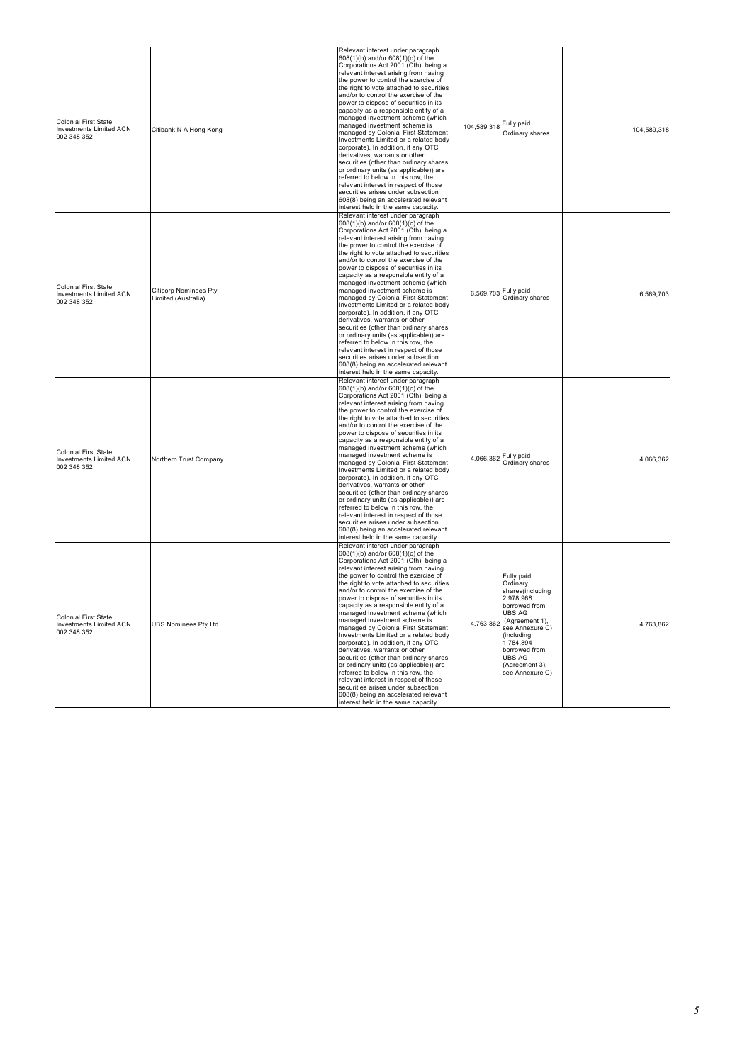| <b>Colonial First State</b><br><b>Investments Limited ACN</b><br>002 348 352 | Citibank N A Hong Kong                              | Relevant interest under paragraph<br>608(1)(b) and/or 608(1)(c) of the<br>Corporations Act 2001 (Cth), being a<br>relevant interest arising from having<br>the power to control the exercise of<br>the right to vote attached to securities<br>and/or to control the exercise of the<br>power to dispose of securities in its<br>capacity as a responsible entity of a<br>managed investment scheme (which<br>managed investment scheme is<br>managed by Colonial First Statement<br>Investments Limited or a related body<br>corporate). In addition, if any OTC<br>derivatives, warrants or other<br>securities (other than ordinary shares<br>or ordinary units (as applicable)) are<br>referred to below in this row, the<br>relevant interest in respect of those<br>securities arises under subsection<br>608(8) being an accelerated relevant<br>interest held in the same capacity  | 104,589,318 Fully paid<br>Ordinary shares                                                                                                                                                                                                  | 104,589,318 |
|------------------------------------------------------------------------------|-----------------------------------------------------|---------------------------------------------------------------------------------------------------------------------------------------------------------------------------------------------------------------------------------------------------------------------------------------------------------------------------------------------------------------------------------------------------------------------------------------------------------------------------------------------------------------------------------------------------------------------------------------------------------------------------------------------------------------------------------------------------------------------------------------------------------------------------------------------------------------------------------------------------------------------------------------------|--------------------------------------------------------------------------------------------------------------------------------------------------------------------------------------------------------------------------------------------|-------------|
| <b>Colonial First State</b><br><b>Investments Limited ACN</b><br>002 348 352 | <b>Citicorp Nominees Pty</b><br>Limited (Australia) | Relevant interest under paragraph<br>608(1)(b) and/or 608(1)(c) of the<br>Corporations Act 2001 (Cth), being a<br>relevant interest arising from having<br>the power to control the exercise of<br>the right to vote attached to securities<br>and/or to control the exercise of the<br>power to dispose of securities in its<br>capacity as a responsible entity of a<br>managed investment scheme (which<br>managed investment scheme is<br>managed by Colonial First Statement<br>Investments Limited or a related body<br>corporate). In addition, if any OTC<br>derivatives, warrants or other<br>securities (other than ordinary shares<br>or ordinary units (as applicable)) are<br>referred to below in this row, the<br>relevant interest in respect of those<br>securities arises under subsection<br>608(8) being an accelerated relevant<br>interest held in the same capacity. | 6,569,703 Fully paid<br>Ordinary shares                                                                                                                                                                                                    | 6,569,703   |
| <b>Colonial First State</b><br><b>Investments Limited ACN</b><br>002 348 352 | Northern Trust Company                              | Relevant interest under paragraph<br>608(1)(b) and/or 608(1)(c) of the<br>Corporations Act 2001 (Cth), being a<br>relevant interest arising from having<br>the power to control the exercise of<br>the right to vote attached to securities<br>and/or to control the exercise of the<br>power to dispose of securities in its<br>capacity as a responsible entity of a<br>managed investment scheme (which<br>managed investment scheme is<br>managed by Colonial First Statement<br>Investments Limited or a related body<br>corporate). In addition, if any OTC<br>derivatives, warrants or other<br>securities (other than ordinary shares<br>or ordinary units (as applicable)) are<br>referred to below in this row, the<br>relevant interest in respect of those<br>securities arises under subsection<br>608(8) being an accelerated relevant<br>interest held in the same capacity. | 4,066,362 Fully paid<br>Ordinary shares                                                                                                                                                                                                    | 4,066,362   |
| Colonial First State<br>Investments Limited ACN<br>002 348 352               | <b>UBS Nominees Pty Ltd</b>                         | Relevant interest under paragraph<br>608(1)(b) and/or 608(1)(c) of the<br>Corporations Act 2001 (Cth), being a<br>relevant interest arising from having<br>the power to control the exercise of<br>the right to vote attached to securities<br>and/or to control the exercise of the<br>power to dispose of securities in its<br>capacity as a responsible entity of a<br>managed investment scheme (which<br>managed investment scheme is<br>managed by Colonial First Statement<br>Investments Limited or a related body<br>corporate). In addition, if any OTC<br>derivatives, warrants or other<br>securities (other than ordinary shares<br>or ordinary units (as applicable)) are<br>referred to below in this row, the<br>relevant interest in respect of those<br>securities arises under subsection<br>608(8) being an accelerated relevant<br>interest held in the same capacity. | Fully paid<br>Ordinary<br>shares(including<br>2,978,968<br>borrowed from<br><b>UBS AG</b><br>4,763,862 (Agreement 1),<br>see Annexure C)<br>(including<br>1,784,894<br>borrowed from<br><b>UBS AG</b><br>(Agreement 3),<br>see Annexure C) | 4,763,862   |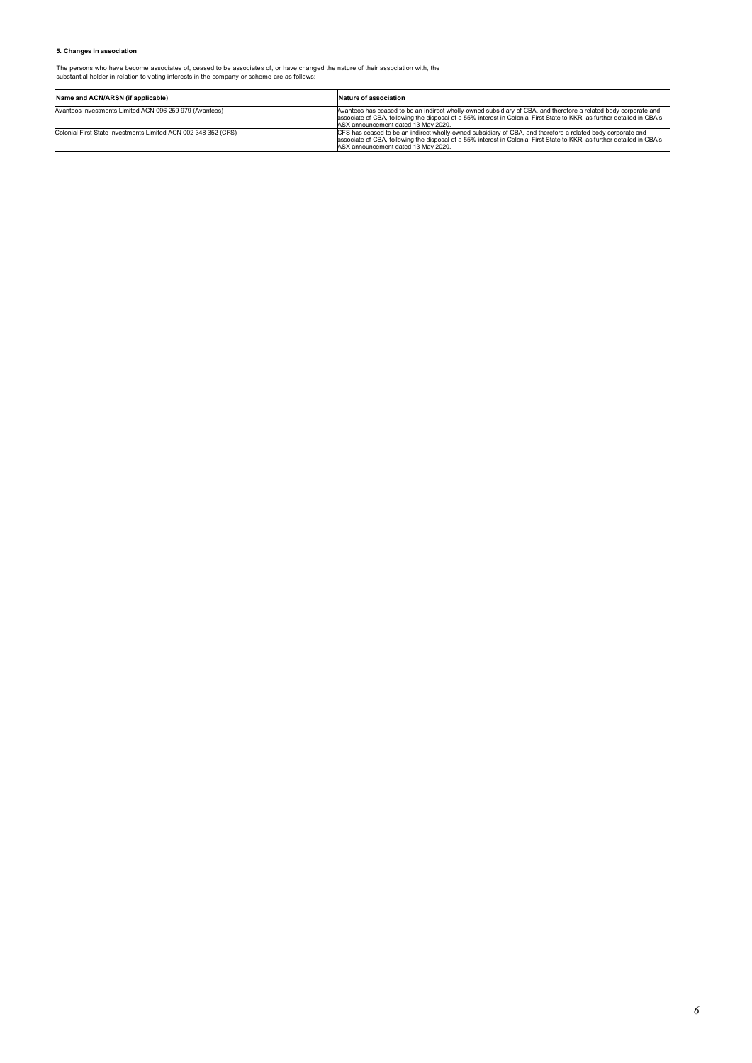#### **5. Changes in association**

The persons who have become associates of, ceased to be associates of, or have changed the nature of their association with, the substantial holder in relation to voting interests in the company or scheme are as follows:

| Name and ACN/ARSN (if applicable)                              | Nature of association                                                                                                                                                                                                                                                              |
|----------------------------------------------------------------|------------------------------------------------------------------------------------------------------------------------------------------------------------------------------------------------------------------------------------------------------------------------------------|
| Avanteos Investments Limited ACN 096 259 979 (Avanteos)        | Avanteos has ceased to be an indirect wholly-owned subsidiary of CBA, and therefore a related body corporate and<br>associate of CBA, following the disposal of a 55% interest in Colonial First State to KKR, as further detailed in CBA's<br>ASX announcement dated 13 May 2020. |
| Colonial First State Investments Limited ACN 002 348 352 (CFS) | CFS has ceased to be an indirect wholly-owned subsidiary of CBA, and therefore a related body corporate and<br>associate of CBA, following the disposal of a 55% interest in Colonial First State to KKR, as further detailed in CBA's<br>ASX announcement dated 13 May 2020.      |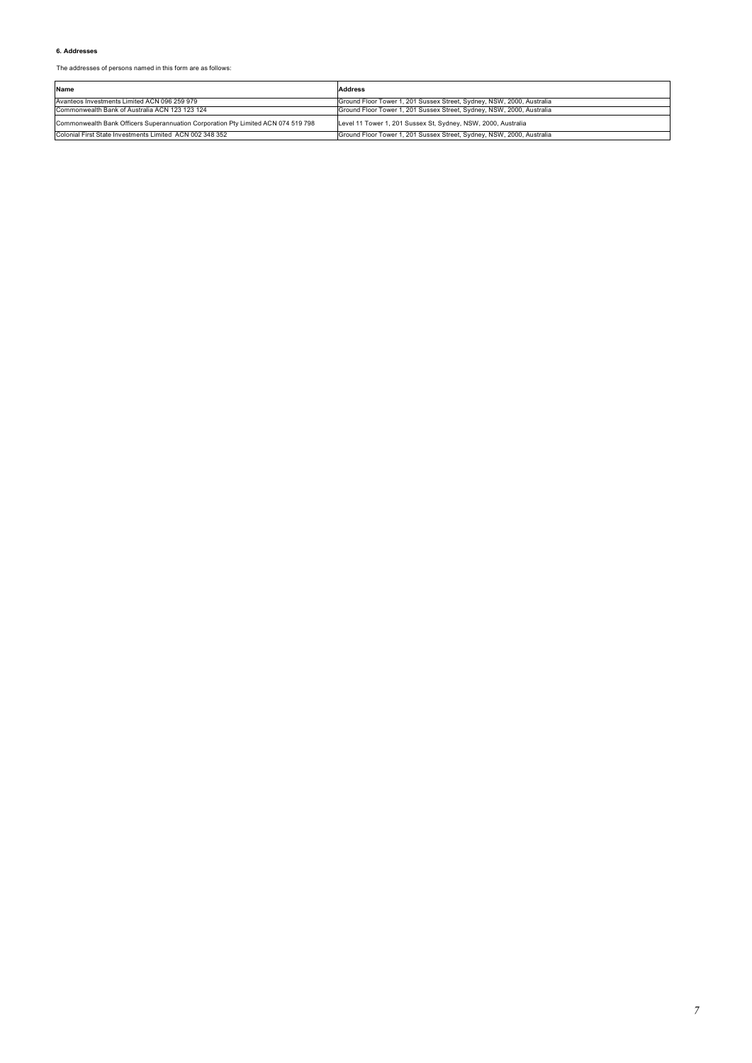#### **6. Addresses**

The addresses of persons named in this form are as follows:

| Name                                                                              | <b>Address</b>                                                        |
|-----------------------------------------------------------------------------------|-----------------------------------------------------------------------|
| Avanteos Investments Limited ACN 096 259 979                                      | Ground Floor Tower 1, 201 Sussex Street, Sydney, NSW, 2000, Australia |
| Commonwealth Bank of Australia ACN 123 123 124                                    | Ground Floor Tower 1, 201 Sussex Street, Sydney, NSW, 2000, Australia |
| Commonwealth Bank Officers Superannuation Corporation Pty Limited ACN 074 519 798 | Level 11 Tower 1, 201 Sussex St, Sydney, NSW, 2000, Australia         |
| Colonial First State Investments Limited ACN 002 348 352                          | Ground Floor Tower 1, 201 Sussex Street, Sydney, NSW, 2000, Australia |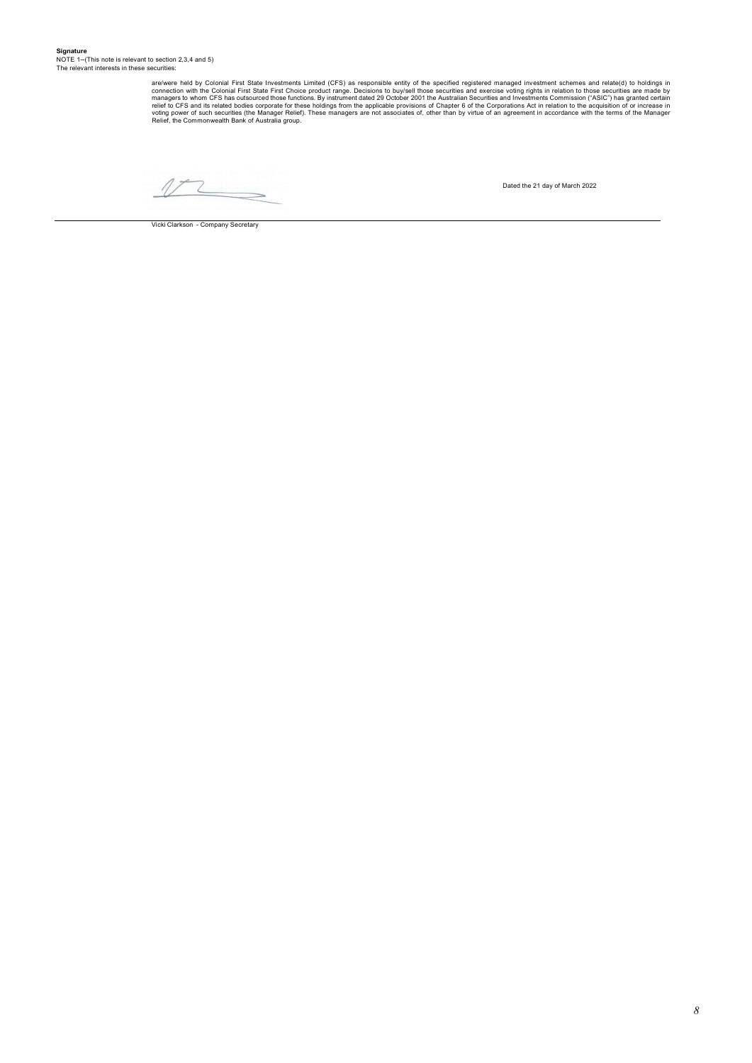are/were held by Colonial First State Investments Limited (CFS) as responsible entity of the specified registered managers to whom cFS has outsourced those First Choice product range. Decisions to buy/sell those securities

 $\overline{\phantom{0}}$ 

Vicki Clarkson - Company Secretary

Dated the 21 day of March 2022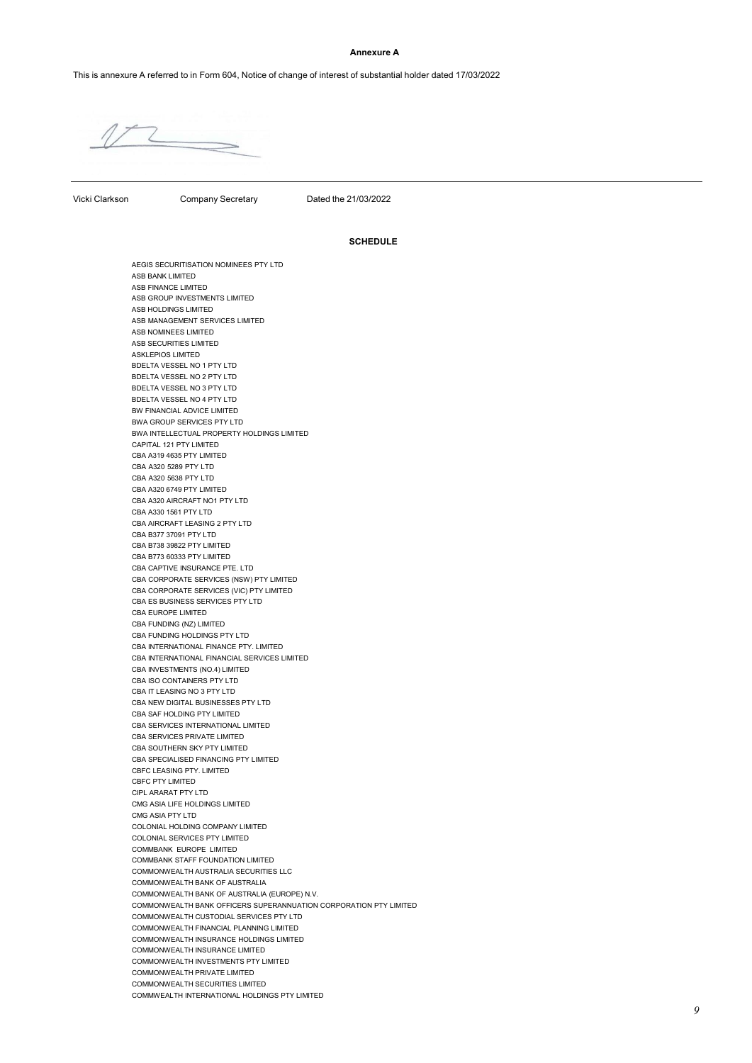#### **Annexure A**

This is annexure A referred to in Form 604, Notice of change of interest of substantial holder dated 17/03/2022

Vicki Clarkson Company Secretary Dated the 21/03/2022

#### **SCHEDULE**

AEGIS SECURITISATION NOMINEES PTY LTD ASB BANK LIMITED ASB FINANCE LIMITED ASB GROUP INVESTMENTS LIMITED ASB HOLDINGS LIMITED ASB MANAGEMENT SERVICES LIMITED ASB NOMINEES LIMITED ASB SECURITIES LIMITED ASKLEPIOS LIMITED BDELTA VESSEL NO 1 PTY LTD BDELTA VESSEL NO 2 PTY LTD BDELTA VESSEL NO 3 PTY LTD BDELTA VESSEL NO 4 PTY LTD BW FINANCIAL ADVICE LIMITED BWA GROUP SERVICES PTY LTD BWA INTELLECTUAL PROPERTY HOLDINGS LIMITED CAPITAL 121 PTY LIMITED CBA A319 4635 PTY LIMITED CBA A320 5289 PTY LTD CBA A320 5638 PTY LTD CBA A320 6749 PTY LIMITED CBA A320 AIRCRAFT NO1 PTY LTD CBA A330 1561 PTY LTD CBA AIRCRAFT LEASING 2 PTY LTD CBA B377 37091 PTY LTD CBA B738 39822 PTY LIMITED CBA B773 60333 PTY LIMITED CBA CAPTIVE INSURANCE PTE. LTD CBA CORPORATE SERVICES (NSW) PTY LIMITED CBA CORPORATE SERVICES (VIC) PTY LIMITED CBA ES BUSINESS SERVICES PTY LTD CBA EUROPE LIMITED CBA FUNDING (NZ) LIMITED CBA FUNDING HOLDINGS PTY LTD CBA INTERNATIONAL FINANCE PTY. LIMITED CBA INTERNATIONAL FINANCIAL SERVICES LIMITED CBA INVESTMENTS (NO.4) LIMITED CBA ISO CONTAINERS PTY LTD CBA IT LEASING NO 3 PTY LTD CBA NEW DIGITAL BUSINESSES PTY LTD CBA SAF HOLDING PTY LIMITED CBA SERVICES INTERNATIONAL LIMITED CBA SERVICES PRIVATE LIMITED CBA SOUTHERN SKY PTY LIMITED CBA SPECIALISED FINANCING PTY LIMITED CBFC LEASING PTY. LIMITED CBFC PTY LIMITED CIPL ARARAT PTY LTD CMG ASIA LIFE HOLDINGS LIMITED CMG ASIA PTY LTD COLONIAL HOLDING COMPANY LIMITED COLONIAL SERVICES PTY LIMITED COMMBANK EUROPE LIMITED COMMBANK STAFF FOUNDATION LIMITED COMMONWEALTH AUSTRALIA SECURITIES LLC COMMONWEALTH BANK OF AUSTRALIA COMMONWEALTH BANK OF AUSTRALIA (EUROPE) N.V. COMMONWEALTH BANK OFFICERS SUPERANNUATION CORPORATION PTY LIMITED COMMONWEALTH CUSTODIAL SERVICES PTY LTD COMMONWEALTH FINANCIAL PLANNING LIMITED COMMONWEALTH INSURANCE HOLDINGS LIMITED COMMONWEALTH INSURANCE LIMITED COMMONWEALTH INVESTMENTS PTY LIMITED COMMONWEALTH PRIVATE LIMITED COMMONWEALTH SECURITIES LIMITED COMMWEALTH INTERNATIONAL HOLDINGS PTY LIMITED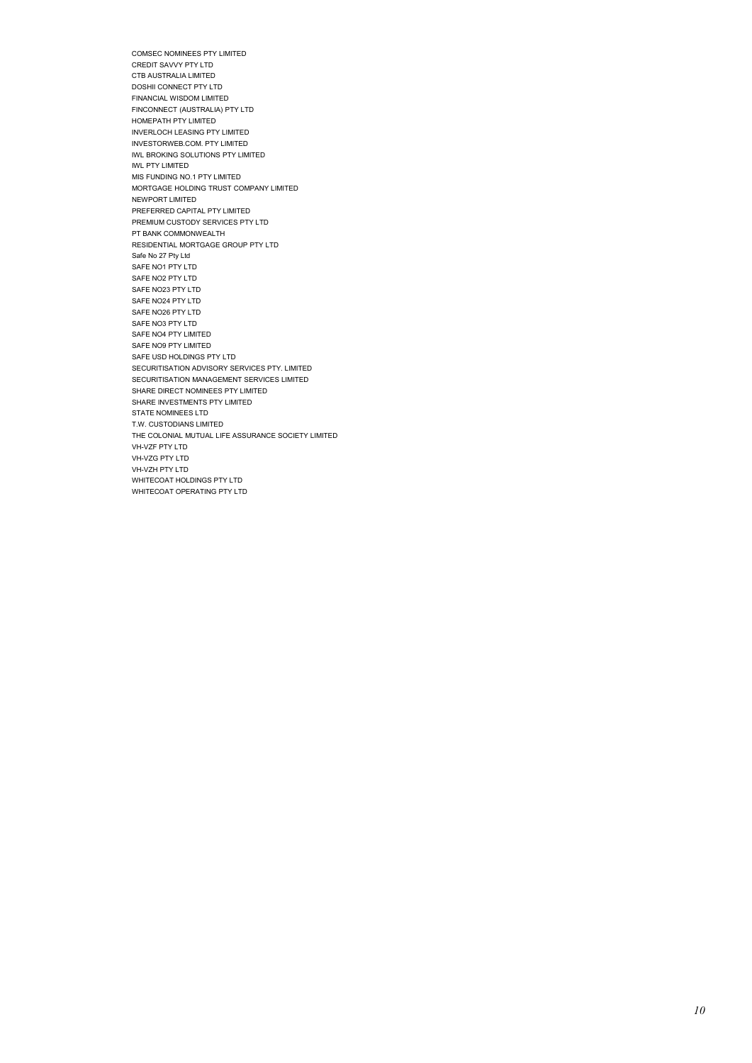COMSEC NOMINEES PTY LIMITED CREDIT SAVVY PTY LTD CTB AUSTRALIA LIMITED DOSHII CONNECT PTY LTD FINANCIAL WISDOM LIMITED FINCONNECT (AUSTRALIA) PTY LTD HOMEPATH PTY LIMITED INVERLOCH LEASING PTY LIMITED INVESTORWEB.COM. PTY LIMITED IWL BROKING SOLUTIONS PTY LIMITED IWL PTY LIMITED MIS FUNDING NO.1 PTY LIMITED MORTGAGE HOLDING TRUST COMPANY LIMITED NEWPORT LIMITED PREFERRED CAPITAL PTY LIMITED PREMIUM CUSTODY SERVICES PTY LTD PT BANK COMMONWEALTH RESIDENTIAL MORTGAGE GROUP PTY LTD Safe No 27 Pty Ltd SAFE NO1 PTY LTD SAFE NO2 PTY LTD SAFE NO23 PTY LTD SAFE NO24 PTY LTD SAFE NO26 PTY LTD SAFE NO3 PTY LTD SAFE NO4 PTY LIMITED SAFE NO9 PTY LIMITED SAFE USD HOLDINGS PTY LTD SECURITISATION ADVISORY SERVICES PTY. LIMITED SECURITISATION MANAGEMENT SERVICES LIMITED SHARE DIRECT NOMINEES PTY LIMITED SHARE INVESTMENTS PTY LIMITED STATE NOMINEES LTD T.W. CUSTODIANS LIMITED THE COLONIAL MUTUAL LIFE ASSURANCE SOCIETY LIMITED VH-VZF PTY LTD VH-VZG PTY LTD VH-VZH PTY LTD WHITECOAT HOLDINGS PTY LTD WHITECOAT OPERATING PTY LTD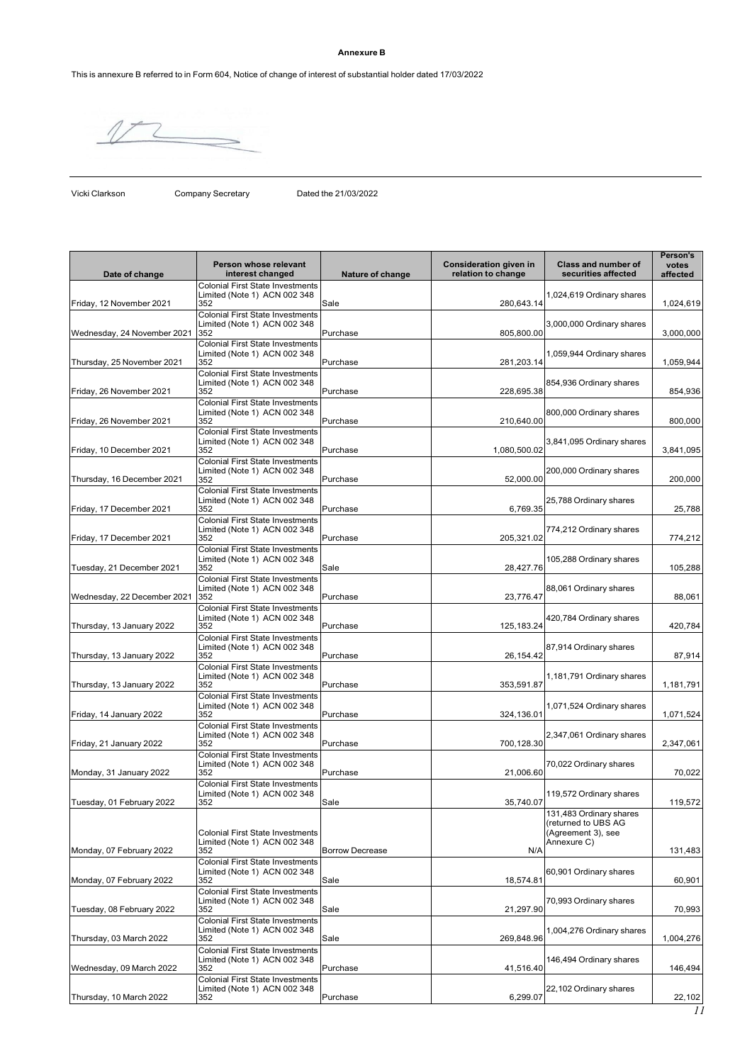### **Annexure B**

This is annexure B referred to in Form 604, Notice of change of interest of substantial holder dated 17/03/2022

Vicki Clarkson Company Secretary Dated the 21/03/2022

| Date of change              | Person whose relevant<br>interest changed                                                                                 | Nature of change       | <b>Consideration given in</b><br>relation to change | Class and number of<br>securities affected                                          | Person's<br>votes<br>affected |
|-----------------------------|---------------------------------------------------------------------------------------------------------------------------|------------------------|-----------------------------------------------------|-------------------------------------------------------------------------------------|-------------------------------|
| Friday, 12 November 2021    | <b>Colonial First State Investments</b><br>Limited (Note 1) ACN 002 348<br>352                                            | Sale                   | 280,643.14                                          | 1,024,619 Ordinary shares                                                           | 1,024,619                     |
| Wednesday, 24 November 2021 | <b>Colonial First State Investments</b><br>Limited (Note 1) ACN 002 348<br>352                                            | Purchase               | 805,800.00                                          | 3,000,000 Ordinary shares                                                           | 3,000,000                     |
| Thursday, 25 November 2021  | <b>Colonial First State Investments</b><br>Limited (Note 1) ACN 002 348<br>352                                            | Purchase               | 281,203.14                                          | 1,059,944 Ordinary shares                                                           | 1,059,944                     |
| Friday, 26 November 2021    | <b>Colonial First State Investments</b><br>Limited (Note 1) ACN 002 348<br>352                                            | Purchase               | 228,695.38                                          | 854,936 Ordinary shares                                                             | 854,936                       |
| Friday, 26 November 2021    | <b>Colonial First State Investments</b><br>Limited (Note 1) ACN 002 348<br>352<br><b>Colonial First State Investments</b> | Purchase               | 210,640.00                                          | 800,000 Ordinary shares                                                             | 800,000                       |
| Friday, 10 December 2021    | Limited (Note 1) ACN 002 348<br>352<br><b>Colonial First State Investments</b>                                            | Purchase               | 1,080,500.02                                        | 3,841,095 Ordinary shares                                                           | 3,841,095                     |
| Thursday, 16 December 2021  | Limited (Note 1) ACN 002 348<br>352<br><b>Colonial First State Investments</b>                                            | Purchase               | 52,000.00                                           | 200,000 Ordinary shares                                                             | 200,000                       |
| Friday, 17 December 2021    | Limited (Note 1) ACN 002 348<br>352<br><b>Colonial First State Investments</b>                                            | Purchase               | 6,769.35                                            | 25,788 Ordinary shares                                                              | 25,788                        |
| Friday, 17 December 2021    | Limited (Note 1) ACN 002 348<br>352<br><b>Colonial First State Investments</b>                                            | Purchase               | 205,321.02                                          | 774,212 Ordinary shares                                                             | 774,212                       |
| Tuesday, 21 December 2021   | Limited (Note 1) ACN 002 348<br>352<br><b>Colonial First State Investments</b>                                            | Sale                   | 28,427.76                                           | 105,288 Ordinary shares                                                             | 105,288                       |
| Wednesday, 22 December 2021 | Limited (Note 1) ACN 002 348<br>352<br><b>Colonial First State Investments</b>                                            | Purchase               | 23,776.47                                           | 88,061 Ordinary shares                                                              | 88,061                        |
| Thursday, 13 January 2022   | Limited (Note 1) ACN 002 348<br>352<br><b>Colonial First State Investments</b>                                            | Purchase               | 125, 183. 24                                        | 420,784 Ordinary shares                                                             | 420,784                       |
| Thursday, 13 January 2022   | Limited (Note 1) ACN 002 348<br>352<br><b>Colonial First State Investments</b>                                            | Purchase               | 26, 154.42                                          | 87,914 Ordinary shares                                                              | 87,914                        |
| Thursday, 13 January 2022   | Limited (Note 1) ACN 002 348<br>352<br><b>Colonial First State Investments</b>                                            | Purchase               | 353,591.87                                          | 1,181,791 Ordinary shares                                                           | 1,181,791                     |
| Friday, 14 January 2022     | Limited (Note 1) ACN 002 348<br>352<br><b>Colonial First State Investments</b>                                            | Purchase               | 324,136.01                                          | 1,071,524 Ordinary shares                                                           | 1,071,524                     |
| Friday, 21 January 2022     | Limited (Note 1) ACN 002 348<br>352<br><b>Colonial First State Investments</b>                                            | Purchase               | 700,128.30                                          | 2,347,061 Ordinary shares                                                           | 2,347,061                     |
| Monday, 31 January 2022     | Limited (Note 1) ACN 002 348<br>352<br><b>Colonial First State Investments</b>                                            | Purchase               | 21,006.60                                           | 70,022 Ordinary shares                                                              | 70,022                        |
| Tuesday, 01 February 2022   | Limited (Note 1) ACN 002 348<br>352                                                                                       | Sale                   | 35,740.07                                           | 119,572 Ordinary shares                                                             | 119,572                       |
| Monday, 07 February 2022    | <b>Colonial First State Investments</b><br>Limited (Note 1) ACN 002 348<br>352                                            | <b>Borrow Decrease</b> | N/A                                                 | 131,483 Ordinary shares<br>(returned to UBS AG<br>(Agreement 3), see<br>Annexure C) | 131,483                       |
| Monday, 07 February 2022    | <b>Colonial First State Investments</b><br>Limited (Note 1) ACN 002 348<br>352                                            | Sale                   | 18,574.81                                           | 60,901 Ordinary shares                                                              | 60,901                        |
| Tuesday, 08 February 2022   | <b>Colonial First State Investments</b><br>Limited (Note 1) ACN 002 348<br>352                                            | Sale                   | 21,297.90                                           | 70,993 Ordinary shares                                                              | 70,993                        |
| Thursday, 03 March 2022     | <b>Colonial First State Investments</b><br>Limited (Note 1) ACN 002 348<br>352                                            | Sale                   | 269,848.96                                          | 1,004,276 Ordinary shares                                                           | 1,004,276                     |
| Wednesday, 09 March 2022    | <b>Colonial First State Investments</b><br>Limited (Note 1) ACN 002 348<br>352<br><b>Colonial First State Investments</b> | Purchase               | 41,516.40                                           | 146,494 Ordinary shares                                                             | 146,494                       |
| Thursday, 10 March 2022     | Limited (Note 1) ACN 002 348<br>352                                                                                       | Purchase               | 6,299.07                                            | 22,102 Ordinary shares                                                              | 22,102                        |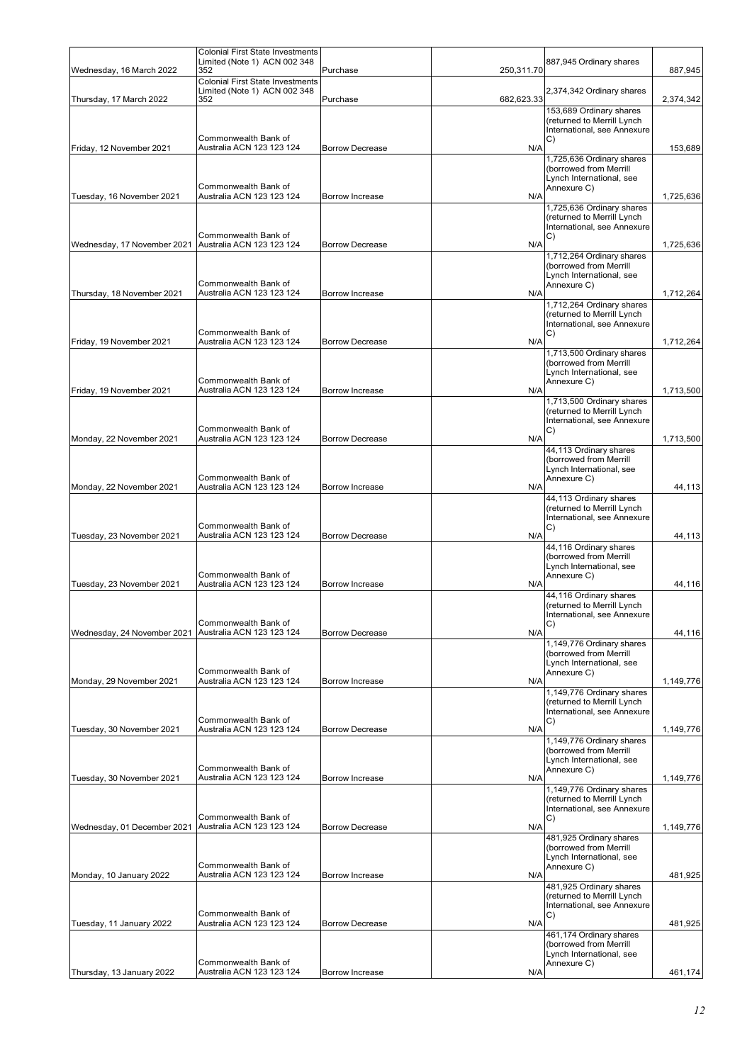|                             | <b>Colonial First State Investments</b>                                 |                        |            |                                                           |           |
|-----------------------------|-------------------------------------------------------------------------|------------------------|------------|-----------------------------------------------------------|-----------|
| Wednesday, 16 March 2022    | Limited (Note 1) ACN 002 348<br>352                                     | Purchase               | 250,311.70 | 887,945 Ordinary shares                                   | 887,945   |
|                             | <b>Colonial First State Investments</b><br>Limited (Note 1) ACN 002 348 |                        |            | 2,374,342 Ordinary shares                                 |           |
| Thursday, 17 March 2022     | 352                                                                     | Purchase               | 682,623.33 |                                                           | 2,374,342 |
|                             |                                                                         |                        |            | 153,689 Ordinary shares<br>(returned to Merrill Lynch     |           |
|                             |                                                                         |                        |            | International, see Annexure                               |           |
| Friday, 12 November 2021    | Commonwealth Bank of<br>Australia ACN 123 123 124                       | <b>Borrow Decrease</b> | N/A        | C)                                                        | 153,689   |
|                             |                                                                         |                        |            | 1,725,636 Ordinary shares                                 |           |
|                             |                                                                         |                        |            | (borrowed from Merrill<br>Lynch International, see        |           |
|                             | Commonwealth Bank of                                                    |                        |            | Annexure C)                                               |           |
| Tuesday, 16 November 2021   | Australia ACN 123 123 124                                               | Borrow Increase        | N/A        | 1,725,636 Ordinary shares                                 | 1,725,636 |
|                             |                                                                         |                        |            | (returned to Merrill Lynch                                |           |
|                             | Commonwealth Bank of                                                    |                        |            | International, see Annexure<br>C)                         |           |
| Wednesday, 17 November 2021 | Australia ACN 123 123 124                                               | <b>Borrow Decrease</b> | N/A        |                                                           | 1,725,636 |
|                             |                                                                         |                        |            | 1,712,264 Ordinary shares<br>(borrowed from Merrill       |           |
|                             | Commonwealth Bank of                                                    |                        |            | Lynch International, see<br>Annexure C)                   |           |
| Thursday, 18 November 2021  | Australia ACN 123 123 124                                               | Borrow Increase        | N/A        |                                                           | 1,712,264 |
|                             |                                                                         |                        |            | 1,712,264 Ordinary shares<br>(returned to Merrill Lynch   |           |
|                             |                                                                         |                        |            | International, see Annexure                               |           |
| Friday, 19 November 2021    | Commonwealth Bank of<br>Australia ACN 123 123 124                       | <b>Borrow Decrease</b> | N/A        | C)                                                        | 1,712,264 |
|                             |                                                                         |                        |            | 1,713,500 Ordinary shares                                 |           |
|                             |                                                                         |                        |            | (borrowed from Merrill<br>Lynch International, see        |           |
|                             | Commonwealth Bank of                                                    |                        |            | Annexure C)                                               |           |
| Friday, 19 November 2021    | Australia ACN 123 123 124                                               | Borrow Increase        | N/A        | 1,713,500 Ordinary shares                                 | 1,713,500 |
|                             |                                                                         |                        |            | (returned to Merrill Lynch                                |           |
|                             | Commonwealth Bank of                                                    |                        |            | International, see Annexure<br>C)                         |           |
| Monday, 22 November 2021    | Australia ACN 123 123 124                                               | <b>Borrow Decrease</b> | N/A        |                                                           | 1,713,500 |
|                             |                                                                         |                        |            | 44,113 Ordinary shares<br>(borrowed from Merrill          |           |
|                             |                                                                         |                        |            | Lynch International, see                                  |           |
| Monday, 22 November 2021    | Commonwealth Bank of<br>Australia ACN 123 123 124                       | Borrow Increase        | N/A        | Annexure C)                                               | 44,113    |
|                             |                                                                         |                        |            | 44,113 Ordinary shares                                    |           |
|                             |                                                                         |                        |            | (returned to Merrill Lynch<br>International, see Annexure |           |
| Tuesday, 23 November 2021   | Commonwealth Bank of<br>Australia ACN 123 123 124                       | <b>Borrow Decrease</b> | N/A        | C)                                                        | 44,113    |
|                             |                                                                         |                        |            | 44,116 Ordinary shares                                    |           |
|                             |                                                                         |                        |            | (borrowed from Merrill                                    |           |
|                             | Commonwealth Bank of                                                    |                        |            | Lynch International, see<br>Annexure C)                   |           |
| Tuesday, 23 November 2021   | Australia ACN 123 123 124                                               | <b>Borrow Increase</b> | N/A        | 44,116 Ordinary shares                                    | 44,116    |
|                             |                                                                         |                        |            | (returned to Merrill Lynch                                |           |
|                             | Commonwealth Bank of                                                    |                        |            | International, see Annexure<br>C)                         |           |
| Wednesday, 24 November 2021 | Australia ACN 123 123 124                                               | <b>Borrow Decrease</b> | N/A        |                                                           | 44,116    |
|                             |                                                                         |                        |            | 1,149,776 Ordinary shares<br>(borrowed from Merrill       |           |
|                             |                                                                         |                        |            | Lynch International, see                                  |           |
| Monday, 29 November 2021    | Commonwealth Bank of<br>Australia ACN 123 123 124                       | Borrow Increase        | N/A        | Annexure C)                                               | 1,149,776 |
|                             |                                                                         |                        |            | 1,149,776 Ordinary shares                                 |           |
|                             |                                                                         |                        |            | (returned to Merrill Lynch<br>International, see Annexure |           |
| Tuesday, 30 November 2021   | Commonwealth Bank of<br>Australia ACN 123 123 124                       | <b>Borrow Decrease</b> | N/A        | C)                                                        | 1,149,776 |
|                             |                                                                         |                        |            | 1,149,776 Ordinary shares                                 |           |
|                             |                                                                         |                        |            | (borrowed from Merrill<br>Lynch International, see        |           |
|                             | Commonwealth Bank of                                                    |                        |            | Annexure C)                                               |           |
| Tuesday, 30 November 2021   | Australia ACN 123 123 124                                               | Borrow Increase        | N/A        | 1,149,776 Ordinary shares                                 | 1,149,776 |
|                             |                                                                         |                        |            | (returned to Merrill Lynch                                |           |
|                             | Commonwealth Bank of                                                    |                        |            | International, see Annexure<br>C)                         |           |
| Wednesday, 01 December 2021 | Australia ACN 123 123 124                                               | <b>Borrow Decrease</b> | N/A        |                                                           | 1,149,776 |
|                             |                                                                         |                        |            | 481,925 Ordinary shares<br>(borrowed from Merrill         |           |
|                             | Commonwealth Bank of                                                    |                        |            | Lynch International, see                                  |           |
| Monday, 10 January 2022     | Australia ACN 123 123 124                                               | Borrow Increase        | N/A        | Annexure C)                                               | 481,925   |
|                             |                                                                         |                        |            | 481,925 Ordinary shares                                   |           |
|                             |                                                                         |                        |            | (returned to Merrill Lynch<br>International, see Annexure |           |
| Tuesday, 11 January 2022    | Commonwealth Bank of<br>Australia ACN 123 123 124                       | <b>Borrow Decrease</b> | N/A        | C)                                                        | 481,925   |
|                             |                                                                         |                        |            | 461,174 Ordinary shares                                   |           |
|                             |                                                                         |                        |            | (borrowed from Merrill<br>Lynch International, see        |           |
|                             | Commonwealth Bank of                                                    |                        |            | Annexure C)                                               |           |
| Thursday, 13 January 2022   | Australia ACN 123 123 124                                               | Borrow Increase        | N/A        |                                                           | 461,174   |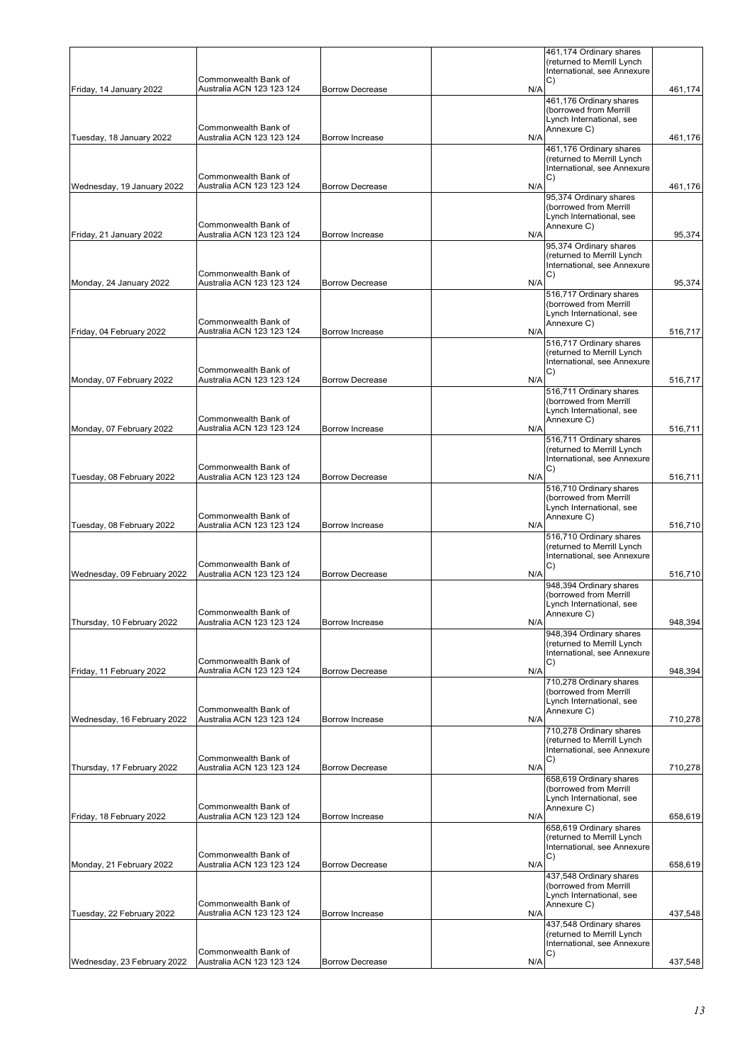|                             | Commonwealth Bank of                              |                        |     | 461,174 Ordinary shares<br>(returned to Merrill Lynch<br>International, see Annexure                                    |         |
|-----------------------------|---------------------------------------------------|------------------------|-----|-------------------------------------------------------------------------------------------------------------------------|---------|
| Friday, 14 January 2022     | Australia ACN 123 123 124                         | <b>Borrow Decrease</b> | N/A | C)<br>461,176 Ordinary shares                                                                                           | 461,174 |
|                             | Commonwealth Bank of                              |                        |     | (borrowed from Merrill<br>Lynch International, see<br>Annexure C)                                                       |         |
| Tuesday, 18 January 2022    | Australia ACN 123 123 124                         | Borrow Increase        | N/A | 461,176 Ordinary shares                                                                                                 | 461,176 |
|                             | Commonwealth Bank of                              |                        |     | (returned to Merrill Lynch<br>International, see Annexure<br>C)                                                         |         |
| Wednesday, 19 January 2022  | Australia ACN 123 123 124<br>Commonwealth Bank of | <b>Borrow Decrease</b> | N/A | 95,374 Ordinary shares<br>(borrowed from Merrill<br>Lynch International, see<br>Annexure C)                             | 461,176 |
| Friday, 21 January 2022     | Australia ACN 123 123 124                         | Borrow Increase        | N/A | 95,374 Ordinary shares<br>(returned to Merrill Lynch<br>International, see Annexure                                     | 95,374  |
| Monday, 24 January 2022     | Commonwealth Bank of<br>Australia ACN 123 123 124 | <b>Borrow Decrease</b> | N/A | C)                                                                                                                      | 95,374  |
|                             | Commonwealth Bank of                              |                        |     | 516,717 Ordinary shares<br>(borrowed from Merrill<br>Lynch International, see                                           |         |
| Friday, 04 February 2022    | Australia ACN 123 123 124                         | <b>Borrow Increase</b> | N/A | Annexure C)                                                                                                             | 516,717 |
|                             | Commonwealth Bank of                              |                        |     | 516,717 Ordinary shares<br>(returned to Merrill Lynch<br>International, see Annexure<br>C)                              |         |
| Monday, 07 February 2022    | Australia ACN 123 123 124                         | <b>Borrow Decrease</b> | N/A | 516,711 Ordinary shares                                                                                                 | 516,717 |
| Monday, 07 February 2022    | Commonwealth Bank of<br>Australia ACN 123 123 124 | <b>Borrow Increase</b> | N/A | (borrowed from Merrill<br>Lynch International, see<br>Annexure C)                                                       | 516,711 |
|                             |                                                   |                        |     | 516,711 Ordinary shares<br>(returned to Merrill Lynch                                                                   |         |
|                             | Commonwealth Bank of                              |                        |     | International, see Annexure                                                                                             |         |
| Tuesday, 08 February 2022   | Australia ACN 123 123 124                         | <b>Borrow Decrease</b> | N/A | C)                                                                                                                      | 516,711 |
| Tuesday, 08 February 2022   | Commonwealth Bank of<br>Australia ACN 123 123 124 | <b>Borrow Increase</b> | N/A | 516,710 Ordinary shares<br>(borrowed from Merrill<br>Lynch International, see<br>Annexure C)<br>516,710 Ordinary shares | 516,710 |
| Wednesday, 09 February 2022 | Commonwealth Bank of<br>Australia ACN 123 123 124 | <b>Borrow Decrease</b> | N/A | (returned to Merrill Lynch<br>International, see Annexure<br>C)                                                         | 516,710 |
|                             | Commonwealth Bank of                              |                        |     | 948,394 Ordinary shares<br>(borrowed from Merrill<br>Lynch International, see<br>Annexure C)                            |         |
| Thursday, 10 February 2022  | Australia ACN 123 123 124                         | Borrow Increase        | N/A | 948,394 Ordinary shares                                                                                                 | 948,394 |
|                             | Commonwealth Bank of                              | <b>Borrow Decrease</b> | N/A | (returned to Merrill Lynch<br>International, see Annexure<br>C)                                                         | 948,394 |
| Friday, 11 February 2022    | Australia ACN 123 123 124                         |                        |     | 710,278 Ordinary shares<br>(borrowed from Merrill<br>Lynch International, see                                           |         |
| Wednesday, 16 February 2022 | Commonwealth Bank of<br>Australia ACN 123 123 124 | Borrow Increase        | N/A | Annexure C)<br>710,278 Ordinary shares<br>(returned to Merrill Lynch                                                    | 710,278 |
|                             | Commonwealth Bank of                              |                        |     | International, see Annexure<br>C)                                                                                       |         |
| Thursday, 17 February 2022  | Australia ACN 123 123 124                         | <b>Borrow Decrease</b> | N/A | 658,619 Ordinary shares<br>(borrowed from Merrill<br>Lynch International, see                                           | 710,278 |
| Friday, 18 February 2022    | Commonwealth Bank of<br>Australia ACN 123 123 124 | <b>Borrow Increase</b> | N/A | Annexure C)                                                                                                             | 658,619 |
|                             | Commonwealth Bank of                              |                        |     | 658,619 Ordinary shares<br>(returned to Merrill Lynch<br>International, see Annexure<br>C)                              |         |
| Monday, 21 February 2022    | Australia ACN 123 123 124                         | <b>Borrow Decrease</b> | N/A | 437,548 Ordinary shares<br>(borrowed from Merrill                                                                       | 658,619 |
| Tuesday, 22 February 2022   | Commonwealth Bank of<br>Australia ACN 123 123 124 | <b>Borrow Increase</b> | N/A | Lynch International, see<br>Annexure C)                                                                                 | 437,548 |
|                             | Commonwealth Bank of                              |                        |     | 437,548 Ordinary shares<br>(returned to Merrill Lynch<br>International, see Annexure<br>C)                              |         |
| Wednesday, 23 February 2022 | Australia ACN 123 123 124                         | <b>Borrow Decrease</b> | N/A |                                                                                                                         | 437,548 |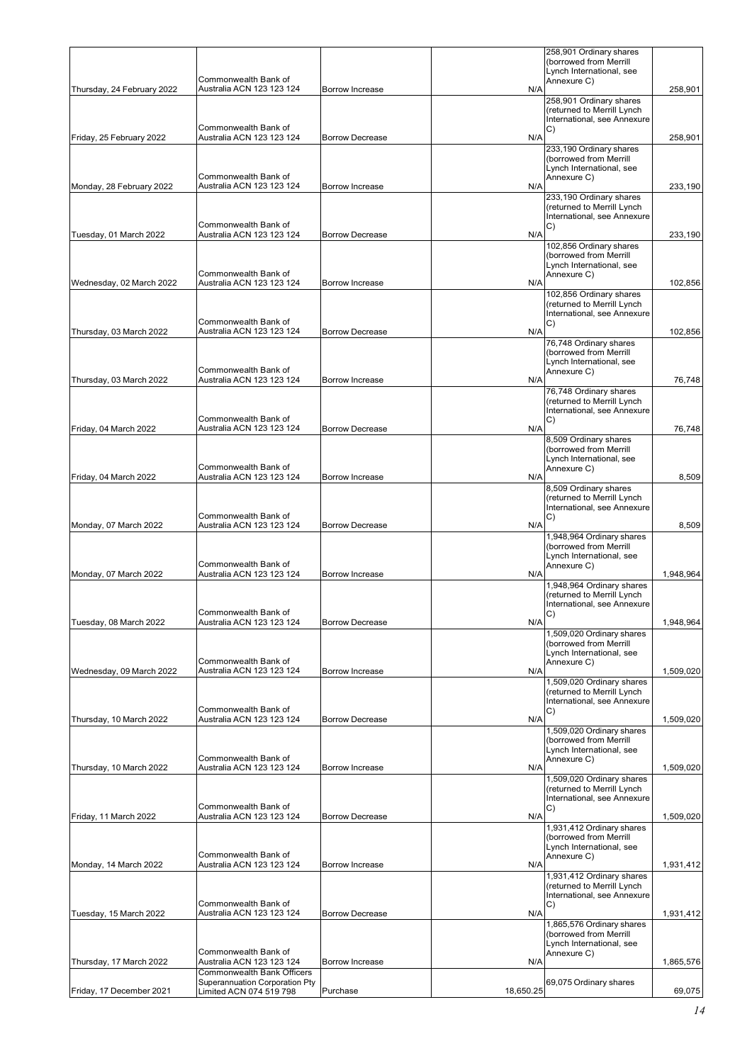|                            | Commonwealth Bank of                                                            |                        |           | 258,901 Ordinary shares<br>(borrowed from Merrill<br>Lynch International, see<br>Annexure C)                       |           |
|----------------------------|---------------------------------------------------------------------------------|------------------------|-----------|--------------------------------------------------------------------------------------------------------------------|-----------|
| Thursday, 24 February 2022 | Australia ACN 123 123 124                                                       | Borrow Increase        | N/A       | 258,901 Ordinary shares<br>(returned to Merrill Lynch<br>International, see Annexure                               | 258,901   |
| Friday, 25 February 2022   | Commonwealth Bank of<br>Australia ACN 123 123 124<br>Commonwealth Bank of       | <b>Borrow Decrease</b> | N/A       | C)<br>233,190 Ordinary shares<br>(borrowed from Merrill<br>Lynch International, see<br>Annexure C)                 | 258,901   |
| Monday, 28 February 2022   | Australia ACN 123 123 124                                                       | Borrow Increase        | N/A       | 233,190 Ordinary shares<br>(returned to Merrill Lynch                                                              | 233,190   |
| Tuesday, 01 March 2022     | Commonwealth Bank of<br>Australia ACN 123 123 124                               | <b>Borrow Decrease</b> | N/A       | International, see Annexure<br>C)<br>102,856 Ordinary shares<br>(borrowed from Merrill<br>Lynch International, see | 233,190   |
| Wednesday, 02 March 2022   | Commonwealth Bank of<br>Australia ACN 123 123 124                               | Borrow Increase        | N/A       | Annexure C)<br>102,856 Ordinary shares                                                                             | 102,856   |
|                            | Commonwealth Bank of                                                            |                        |           | (returned to Merrill Lynch<br>International, see Annexure<br>C)                                                    |           |
| Thursday, 03 March 2022    | Australia ACN 123 123 124                                                       | <b>Borrow Decrease</b> | N/A       | 76,748 Ordinary shares<br>(borrowed from Merrill                                                                   | 102,856   |
| Thursday, 03 March 2022    | Commonwealth Bank of<br>Australia ACN 123 123 124                               | Borrow Increase        | N/A       | Lynch International, see<br>Annexure C)                                                                            | 76,748    |
|                            | Commonwealth Bank of                                                            |                        |           | 76,748 Ordinary shares<br>(returned to Merrill Lynch<br>International, see Annexure<br>C)                          |           |
| Friday, 04 March 2022      | Australia ACN 123 123 124                                                       | <b>Borrow Decrease</b> | N/A       | 8,509 Ordinary shares                                                                                              | 76,748    |
| Friday, 04 March 2022      | Commonwealth Bank of<br>Australia ACN 123 123 124                               | Borrow Increase        | N/A       | (borrowed from Merrill<br>Lynch International, see<br>Annexure C)                                                  | 8,509     |
|                            |                                                                                 |                        |           | 8,509 Ordinary shares<br>(returned to Merrill Lynch                                                                |           |
| Monday, 07 March 2022      | Commonwealth Bank of<br>Australia ACN 123 123 124                               | <b>Borrow Decrease</b> | N/A       | International, see Annexure<br>C)                                                                                  | 8,509     |
|                            |                                                                                 |                        |           | 1,948,964 Ordinary shares<br>(borrowed from Merrill<br>Lynch International, see                                    |           |
| Monday, 07 March 2022      | Commonwealth Bank of<br>Australia ACN 123 123 124                               | Borrow Increase        | N/A       | Annexure C)<br>1,948,964 Ordinary shares                                                                           | 1,948,964 |
|                            | Commonwealth Bank of                                                            |                        |           | (returned to Merrill Lynch<br>International, see Annexure<br>C)                                                    |           |
| Tuesday, 08 March 2022     | Australia ACN 123 123 124                                                       | <b>Borrow Decrease</b> | N/A       | 1,509,020 Ordinary shares<br>(borrowed from Merrill<br>Lynch International, see                                    | 1,948,964 |
| Wednesday, 09 March 2022   | Commonwealth Bank of<br>Australia ACN 123 123 124                               | Borrow Increase        | N/A       | Annexure C)                                                                                                        | 1,509,020 |
|                            | Commonwealth Bank of                                                            |                        |           | 1,509,020 Ordinary shares<br>(returned to Merrill Lynch<br>International, see Annexure                             |           |
| Thursday, 10 March 2022    | Australia ACN 123 123 124                                                       | <b>Borrow Decrease</b> | N/A       | C)<br>1,509,020 Ordinary shares                                                                                    | 1,509,020 |
|                            | Commonwealth Bank of                                                            |                        |           | (borrowed from Merrill<br>Lynch International, see<br>Annexure C)                                                  |           |
| Thursday, 10 March 2022    | Australia ACN 123 123 124                                                       | Borrow Increase        | N/A       | 1,509,020 Ordinary shares<br>(returned to Merrill Lynch<br>International, see Annexure                             | 1,509,020 |
| Friday, 11 March 2022      | Commonwealth Bank of<br>Australia ACN 123 123 124                               | <b>Borrow Decrease</b> | N/A       | C)                                                                                                                 | 1,509,020 |
|                            | Commonwealth Bank of                                                            |                        |           | 1,931,412 Ordinary shares<br>(borrowed from Merrill<br>Lynch International, see<br>Annexure C)                     |           |
| Monday, 14 March 2022      | Australia ACN 123 123 124                                                       | Borrow Increase        | N/A       | 1,931,412 Ordinary shares<br>(returned to Merrill Lynch                                                            | 1,931,412 |
| Tuesday, 15 March 2022     | Commonwealth Bank of<br>Australia ACN 123 123 124                               | <b>Borrow Decrease</b> | N/A       | International, see Annexure<br>C)<br>1,865,576 Ordinary shares<br>(borrowed from Merrill                           | 1,931,412 |
| Thursday, 17 March 2022    | Commonwealth Bank of<br>Australia ACN 123 123 124<br>Commonwealth Bank Officers | Borrow Increase        | N/A       | Lynch International, see<br>Annexure C)                                                                            | 1,865,576 |
| Friday, 17 December 2021   | Superannuation Corporation Pty<br>Limited ACN 074 519 798                       | Purchase               | 18,650.25 | 69,075 Ordinary shares                                                                                             | 69,075    |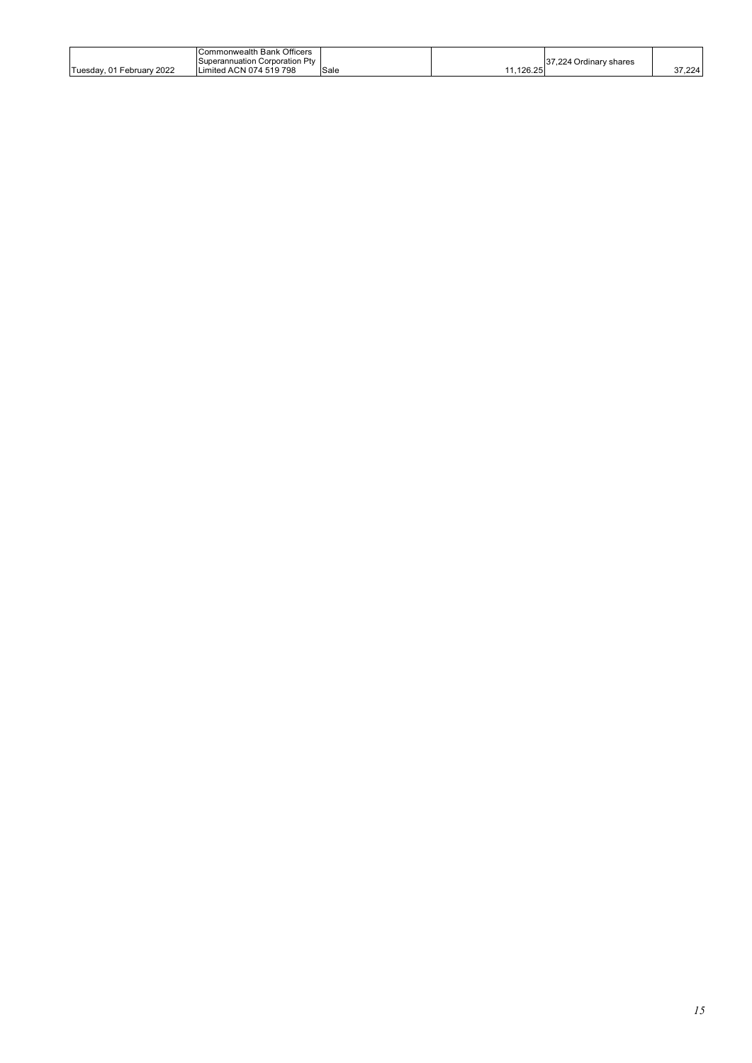|                           | Commonwealth Bank Officers     |      |        |                        |          |
|---------------------------|--------------------------------|------|--------|------------------------|----------|
|                           | Superannuation Corporation Ptv |      |        | 37,224 Ordinary shares |          |
| Tuesday, 01 February 2022 | Limited ACN 074 519 798        | Sale | 126.25 |                        | - 7.224ه |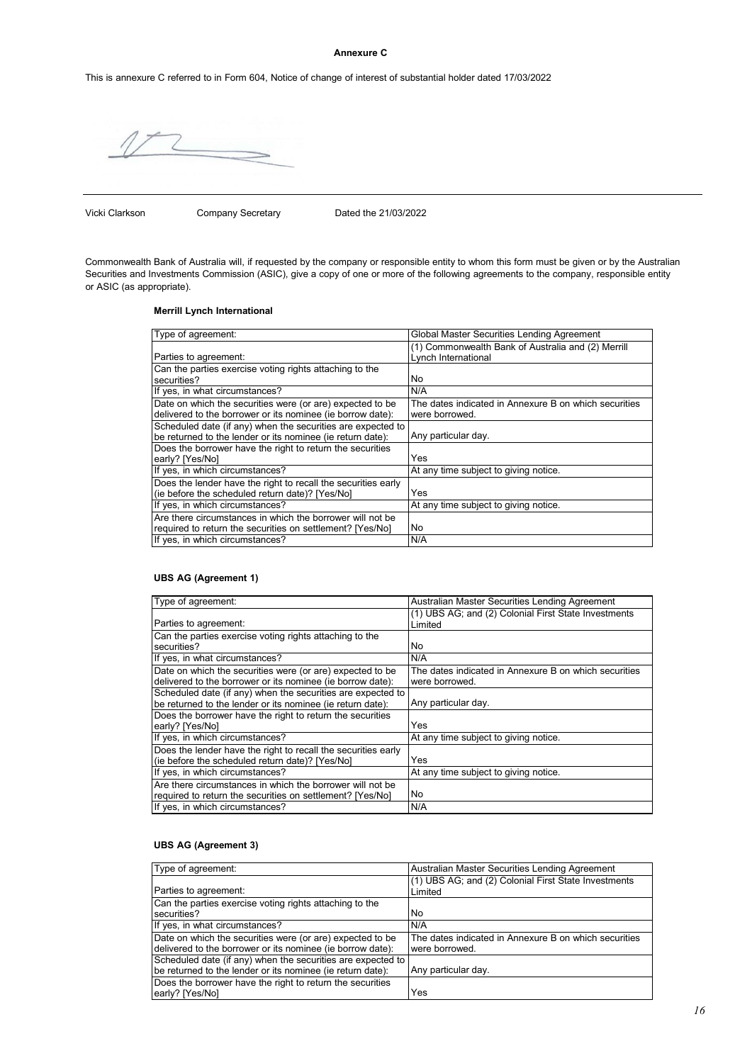#### **Annexure C**

This is annexure C referred to in Form 604, Notice of change of interest of substantial holder dated 17/03/2022

Vicki Clarkson Company Secretary Dated the 21/03/2022

Commonwealth Bank of Australia will, if requested by the company or responsible entity to whom this form must be given or by the Australian Securities and Investments Commission (ASIC), give a copy of one or more of the following agreements to the company, responsible entity or ASIC (as appropriate).

# **Merrill Lynch International**

| Type of agreement:                                            | Global Master Securities Lending Agreement            |
|---------------------------------------------------------------|-------------------------------------------------------|
|                                                               | (1) Commonwealth Bank of Australia and (2) Merrill    |
| Parties to agreement:                                         | Lynch International                                   |
| Can the parties exercise voting rights attaching to the       |                                                       |
|                                                               |                                                       |
| securities?                                                   | No                                                    |
| If yes, in what circumstances?                                | N/A                                                   |
| Date on which the securities were (or are) expected to be     | The dates indicated in Annexure B on which securities |
| delivered to the borrower or its nominee (ie borrow date):    | were borrowed.                                        |
| Scheduled date (if any) when the securities are expected to   |                                                       |
| be returned to the lender or its nominee (ie return date):    | Any particular day.                                   |
| Does the borrower have the right to return the securities     |                                                       |
| early? [Yes/No]                                               | Yes                                                   |
| If yes, in which circumstances?                               | At any time subject to giving notice.                 |
| Does the lender have the right to recall the securities early |                                                       |
| (ie before the scheduled return date)? [Yes/No]               | Yes                                                   |
| If yes, in which circumstances?                               | At any time subject to giving notice.                 |
| Are there circumstances in which the borrower will not be     |                                                       |
| required to return the securities on settlement? [Yes/No]     | No                                                    |
| If yes, in which circumstances?                               | N/A                                                   |

#### **UBS AG (Agreement 1)**

| Type of agreement:                                            | Australian Master Securities Lending Agreement        |
|---------------------------------------------------------------|-------------------------------------------------------|
|                                                               | (1) UBS AG; and (2) Colonial First State Investments  |
| Parties to agreement:                                         | Limited                                               |
| Can the parties exercise voting rights attaching to the       |                                                       |
| securities?                                                   | No                                                    |
| If yes, in what circumstances?                                | N/A                                                   |
| Date on which the securities were (or are) expected to be     | The dates indicated in Annexure B on which securities |
| delivered to the borrower or its nominee (ie borrow date):    | were borrowed.                                        |
| Scheduled date (if any) when the securities are expected to   |                                                       |
| be returned to the lender or its nominee (ie return date):    | Any particular day.                                   |
| Does the borrower have the right to return the securities     |                                                       |
| early? [Yes/No]                                               | Yes                                                   |
| If yes, in which circumstances?                               | At any time subject to giving notice.                 |
| Does the lender have the right to recall the securities early |                                                       |
| (ie before the scheduled return date)? [Yes/No]               | Yes                                                   |
| If yes, in which circumstances?                               | At any time subject to giving notice.                 |
| Are there circumstances in which the borrower will not be     |                                                       |
| required to return the securities on settlement? [Yes/No]     | l No                                                  |
| If yes, in which circumstances?                               | N/A                                                   |

# **UBS AG (Agreement 3)**

| Type of agreement:                                          | Australian Master Securities Lending Agreement        |
|-------------------------------------------------------------|-------------------------------------------------------|
|                                                             | (1) UBS AG; and (2) Colonial First State Investments  |
| Parties to agreement:                                       | Limited                                               |
| Can the parties exercise voting rights attaching to the     |                                                       |
| securities?                                                 | No.                                                   |
| If yes, in what circumstances?                              | N/A                                                   |
| Date on which the securities were (or are) expected to be   | The dates indicated in Annexure B on which securities |
| delivered to the borrower or its nominee (ie borrow date):  | were borrowed.                                        |
| Scheduled date (if any) when the securities are expected to |                                                       |
| be returned to the lender or its nominee (ie return date):  | Any particular day.                                   |
| Does the borrower have the right to return the securities   |                                                       |
| early? [Yes/No]                                             | Yes                                                   |